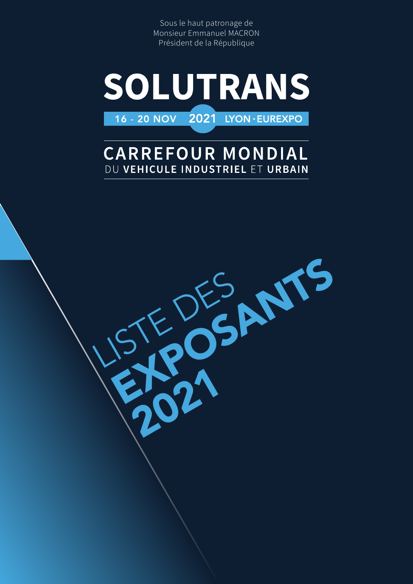Sous le haut patronage de Monsieur Emmanuel MACRON Président de la République



## **CARREFOUR MONDIAL** DU VEHICULE INDUSTRIEL ET URBAIN

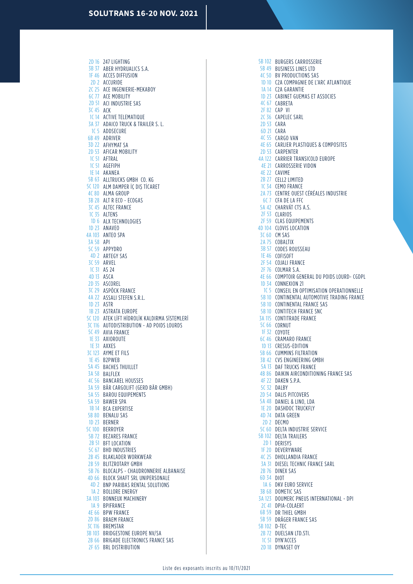2D 16 247 LIGHTING 3B 37 ABER HYDRUALICS S.A. 1F 46 ACCES DIFFUSION 2D 2 ACCURIDE 2C 25 ACE INGENIERIE-MEKABOY 6C 77 ACE MOBILITY 2D 51 ACI INDUSTRIE SAS 3C 45 ACK 1C 14 ACTIVE TELEMATIQUE 3A 37 ADAICO TRUCK & TRAILER S. L. 1C 5 ADDSECURE 6B 49 ADRIVER 3D 22 AFHYMAT SA 2D 53 AFICAR MOBILITY 1C 51 AFTRAL 1C 51 AGEFIPH 1E 14 AKANEA 5B 63 ALLTRUCKS GMBH CO. KG 5C 120 ALM DAMPER İÇ DIŞ TİCARET 4C 80 ALMA GROUP 3B 28 ALT R ECO - ECOGAS 3C 45 ALTEC FRANCE 1C 35 ALTENS 1D 6 ALX TECHNOLOGIES 1D 23 ANAVEO 4A 103 ANTEO SPA 3A 58 API 5C 59 APPYDRO ARTEGY SAS 4D 2 3C 59 ARVEL 1C 31 AS 24 4D 13 ASCA 2D 35 ASCOREL 3C 29 ASPÖCK FRANCE 4A 22 ASSALI STEFEN S.R.L. 1D 23 ASTR 1B 23 ASTRATA EUROPE 5C 120 ATEK LİFT HİDROLİK KALDIRMA SİSTEMLERİ 3C 116 AUTODISTRIBUTION - AD POIDS LOURDS 5C 49 AVIA FRANCE 1E 33 AXIOROUTE 1E 31 AXXES 3C 123 AYME ET FILS 1E 45 B2PWEB 5A 45 BACHES THUILLET 3A 58 BALFLEX 4C 56 BANCAREL HOUSSES BÄR CARGOLIFT (GERD BÄR GMBH) 3A 59 5A 55 BAROU EQUIPEMENTS 5A 59 BAWER SPA 1B 14 BCA EXPERTISE 5B 80 BENALU SAS 1D 23 BERNER 5C 100 BERROYER 5B 72 BEZARES FRANCE 2B 51 BFT LOCATION 5C 67 BHD INDUSTRIES 2B 45 BLAKLADER WORKWEAR 2B 59 BLITZROTARY GMBH 5B 76 BLOCALPS - CHAUDRONNERIE ALBANAISE 4D 66 BLOCK SHAFT SRL UNIPERSONALE 4D 2 BNP PARIBAS RENTAL SOLUTIONS 1A 2 BOLLORE ENERGY 3A 103 BONNEUX MACHINERY 1A 9 BPIFRANCE 4E 66 BPW FRANCE 2D 86 BRAEM FRANCE 3C 116 BREMSTAR 3B 103 BRIDGESTONE EUROPE NV/SA 2B 66 BRIGADE ELECTRONICS FRANCE SAS 2F 65 BRL DISTRIBUTION

5B 102 BURGERS CARROSSERIE 5B 49 BUSINESS LINES LTD 4C 50 BV PRODUCTIONS SAS 1D 10 C2A COMPAGNIE DE L'ARC ATLANTIQUE 1A 14 C2A GARANTIE 1D 23 CABINET GUEMAS ET ASSOCIES 4C 67 CABRETA 2F 82 CAP VI 2C 36 CAPELEC SARL 2D 53 CARA CARA 6D 21 4C 55 CARGO VAN 4E 65 CARLIER PLASTIQUES & COMPOSITES 2D 53 CARPENTER 4A 122 CARRIER TRANSICOLD EUROPE 4E 21 CARROSSERIE VIDON 4E 22 CAVIME 2B 27 CELL2 LIMITED 1C 34 CEMO FRANCE 2A 73 CENTRE OUEST CÉRÉALES INDUSTRIE 6C 7 CFA DE LA FFC 5A 42 CHARVÁT CTS A.S. 2F 53 CLARIOS 2F 59 CLAS EQUIPEMENTS 4D 104 CLOVIS LOCATION 3C 60 CM SAS **COBALTIX** CODES ROUSSEAU 1E 46 COFISOFT 2F 54 COJALI FRANCE 2F 76 COLMAR S.A. 4E 66 COMPTOIR GENERAL DU POIDS LOURD- CGDPL 1D 34 CONNEXION 21 1C 5 CONSEIL EN OPTIMISATION OPERATIONNELLE 5B 10 CONTINENTAL AUTOMOTIVE TRADING FRANCE 5B 10 CONTINENTAL FRANCE SAS 5B 10 CONTITECH FRANCE SNC 3A 115 CONTITRADE FRANCE 5C 66 CORNUT 1F 32 COYOTE 6C 46 CRAMARO FRANCE 1D 13 CRESUS-EDITION 5B 66 CUMMINS FILTRATION 3B 42 CVS ENGINEERING GMBH 5A 13 DAF TRUCKS FRANCE 4B 86 DAIKIN AIRCONDITIONING FRANCE SAS 4F 22 DAKEN S.P.A. 5C 32 DALBY 2D 54 DALIS PITCOVERS 5A 48 DANIEL & LINO, LDA 1E 20 DASHDOC TRUCKFLY 4D 74 DATA GREEN 2D 2 DECMO 5C 60 DELTA INDUSTRIE SERVICE 5B 102 DELTA TRAILERS 2D 1 DERISYS 1F 20 DEVERYWARE 4C 25 DHOLLANDIA FRANCE 3A 31 DIESEL TECHNIC FRANCE SARL 2B 76 DINEX SAS 6D 34 DIOT 1A 6 DKV EURO SERVICE 3B 68 DOMETIC SAS 3A 123 DOUMERC PNEUS INTERNATIONAL - DPI 2C 41 DPIA-COLAERT 6B 59 DR THIEL GMBH 5B 59 DRÄGER FRANCE SAS 5B 102 D-TEC 2B 72 DUELSAN LTD.STI. 1C 51 DYN'ACCES 2D 18 DYNASET OY 2A 75 3B 57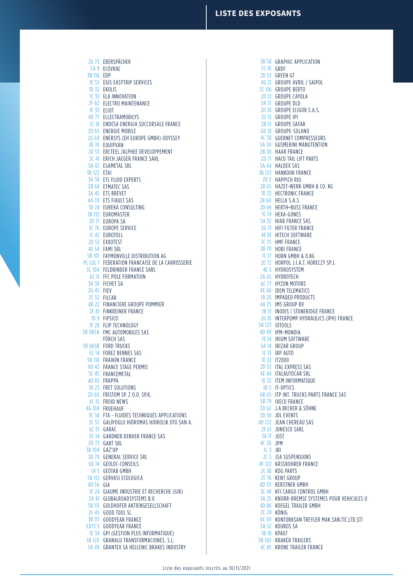2G 73 EBERSPÄCHER 5A 9 ECOVRAC EDP 3B 116 1E 55 EGIS EASYTRIP SERVICES 1D 32 EKOLIS 1C 33 ELA INNOVATION 2F 62 ELECTRO MAINTENANCE 1E 33 ELIOT 4D 77 ELLECTRAMOBILYS 1C 18 ENDESA ENERGIA SUCCURSALE FRANCE 2D 65 ENERGIE MOBILE 2G 69 ENERSYS (EH EUROPE GMBH) ODYSSEY 4E 10 EQUIPVAN 2D 53 ERCTEEL /ALPHEE DEVELOPPEMENT 3C 41 ERICH JAEGER FRANCE SARL 5B 42 ESAMETAL SRL 3B 122 ETAI 3A 58 ETL FLUID EXPERTS 2B 68 ETMATEC SAS 3A 45 ETS BREVET 4A 111 ETS FIAULT SAS 1D 24 EUREKA CONSULTING 3B 112 EUROMASTER 2D 17 EUROPA SA 3C 76 EUROPE SERVICE 1C 42 EUROTOLL 2D 53 EXXOTEST 4E 54 FAMI SRL 5B 101 FAYMONVILLE DISTRIBUTION AG PL LUL 1 FEDERATION FRANCAISE DE LA CARROSSERIE 3C 104 FELDBINDER FRANCE SARL 6C 11 FFC POLE FORMATION 3A 39 FICHET SA 2G 45 FIEV 2C 52 FILCAR 4B 22 FINANCIERE GROUPE POMMIER 2F 81 FINKBEINER FRANCE 1B 9 FIPSICO 1F 28 FLIP TECHNOLOGY 5B 065A FMC AUTOMOBILES SAS FÖRCH SAS 5B 065B FORD TRUCKS 5C 14 FOREZ BENNES SAS 5B 118 FRAIKIN FRANCE 6D 42 FRANCE STAGE PERMIS 5C 45 FRANCEMETAL 4D 85 FRAPPA 1D 23 FRET SOLUTIONS 2D 60 FRISTOM SP. Z 0.0. SP.K. 4C 15 FROID NEWS 4G 104 FRUEHAUF 3C 58 FTA - FLUIDES TECHNIQUES APPLICATIONS 3C 57 GALIPOGLU HIDROMAS HIDROLIK OTO SAN A. 6C 15 GARAC 3C 14 GARDNER DENVER FRANCE SAS 2D 72 GART SRL 3B 104 GAZ'UP 3D 79 GENERAL SERVICE SRL GEOLOC-CONSEILS 6D 14 1A 5 GEOTAB GMBH 5B 112 GERVASI ECOLOGICA GIA 4D 56 1F 24 GIAUME INDUSTRIE ET RECHERCHE (GIR) 2A 41 GLOBALROADSYSTEMS B.V. 5B 111 GOLDHOFER AKTIENGESELLSCHAFT 2F 45 GOOD TOOL SL 3B 111 GOODYEAR FRANCE EXT3 5 GOODYEAR FRANCE 1E 34 GPI (GESTION PLUS INFORMATIQUE) 5B 120 GRANALU TRANSFORMACIONES, S.L.

GRANTEX SA HELLENIC BRAKES INDUSTRY 5A 49

3B 58 GRAPHIC APPLICATION 5C 41 GRDF 2D 53 GREEN GT 4G 21 GROUPE AVRIL / SAIPOL 5C 116 GROUPE BERTO 2D 12 GROUPE CAYOLA 5A 51 GROUPE DLD 2D 10 GROUPE ELIGOR S.A.S. 2C 13 GROUPE IPI 2B 51 GROUPE SAFAR GROUPE-SOLANO 6D 18 4C 38 GUERNET COMPRESSEURS 5A 50 GUSMERINI MANUTENTION 2B 30 HAAR FRANCE 2D 71 HACO TAIL LIFT PARTS 3A 44 HALDEX SAS 3B 127 HANKOOK FRANCE 2D 2 HAPPICH RIU 2B 65 HAZET-WERK GMBH & CO. KG 1D 33 HECTRONIC FRANCE 2B 60 HELLA S.A.S 2D 69 HERTH+BUSS FRANCE 1C 14 HEXA-GONES 5A 32 HIAB FRANCE SAS 2G 71 HIFI FILTER FRANCE **4E 81 HITECH SOFTWARE** 3C 75 HMF FRANCE 2B 70 HOBI FRANCE 1C 17 HORN GMBH & O.KG 2E 72 HORPOL J.I.A.T. HORECZY SP.J. **4E 5 HYDROSYSTEM** 2A 65 HYDROTECH 6C 77 HYZON MOTORS 4E 66 IDEM TELEMATICS 1B 20 IMPAQED PRODUCTS 4A 25 IMS GROUP BV 1B 31 INODIS | STONERIDGE FRANCE 2G 81 INTERPUMP HYDRAULICS (IPH) FRANCE IOTOOLS 3A 127 4D 49 IPM-MONDIA 1E 14 IRIUM SOFTWARE 5A 14 IRIZAR GROUP 1C 13 IRP AUTO 1E 33 IT2000 2D 52 ITAL EXPRESS SAS 4E 44 ITALAUTOCAR SRL 1E 32 ITEM INFORMATIQUE 1D 5 IT-OPTICS 6B 65 ITP INT. TRUCKS PARTS FRANCE SAS 5B 79 IVECO FRANCE 2D 62 J.A.BECKER & SÖHNE 2D 30 JDL EVENTS 4D 122 JEAN CHEREAU SAS 2F 61 JONESCO SARL 3A 11 JOST 4C 26 JPM 1 C 3 JRI 2C 5 JSA SUSPENSIONS 4F 122 KÄSSBOHRER FRANCE 2C 38 KDG PARTS 2C 16 KENT GROUP 4D 111 KERSTNER GMBH 3C 48 KFI CARGO CONTROL GMBH 3A 25 KNORR-BREMSE SYSTEMES POUR VEHICULES U 4D 86 KOEGEL TRAILER GMBH 2C 24 KÖNIG 6C 69 KONTÜRKSAN TREYLER MAK.SAN.TİC.LTD.ŞTİ 3A 52 KOUROS SA 1B 18 KPA6T 5B 102 KRAKER TRAILERS

4C 85 KRONE TRAILER FRANCE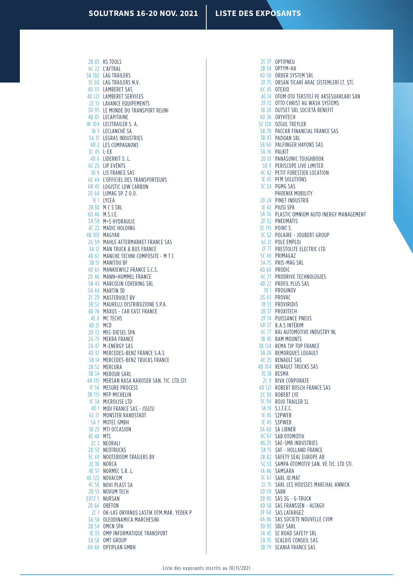2B 85 KS TOOLS 6C 22 L'AFTRAL 5B 102 LAG TRAILERS 3C 60 LAG TRAILERS N.V. 4D 111 LAMBERET SAS 4D 121 LAMBERET SERVICES 2C 51 LAVANCE EQUIPEMENTS 3D 95 LE MONDE DU TRANSPORT REUNI 4B 85 LECAPITAINE 4F 104 LECITRAILER S.A. 1B 5 LECLANCHÉ SA 5A 31 LEGRAS INDUSTRIES 6D 2 LES COMPAGNONS L-EX 3C 45 4D 6 LIDERKIT S.L. 6C 25 LIP EVENTS 1D 9 LIS FRANCE SAS 6C 44 L'OFFICIEL DES TRANSPORTEURS 6B 45 LOGISTIC LOW CARBON LUMAG SP. Z O.O. 2D 64 1E 1 LYCEA 2B 38 M C S SRL 6D 46 M.S.I.E. 3A 58 M+S HYDRAULIC 4C 22 MADIC HOLDING 4B 103 MAGYAR 2G 59 MAHLE AFTERMARKET FRANCE SAS 3A 12 MAN TRUCK & BUS FRANCE 4D 67 MANCHE TECHNI COMPOSITE - M T C 3B 51 MANITOU BF 4D 65 MANKIEWICZ FRANCE S.C.S. 2D 46 MANN+HUMMEL FRANCE 5B 43 MARCOLIN COVERING SRL 5A 44 MARTIN 3D 2C 29 MASTERVOLT BV 3B 52 MAURELLI DISTRIBUZIONE S.P.A. 4D 76 MAXUS - CAR EAST FRANCE 4E 6 MC TECHS 4D 21 MCD 2D 72 MEC-DIESEL SPA 2G 75 MEKRA FRANCE 2A 47 M-ENERGY SAS 4D 37 MERCEDES-BENZ FRANCE S.A.S 5B 14 MERCEDES-BENZ TRUCKS FRANCE 2B 52 MERCURA 3B 34 MEROUR SARL 4A 115 MERSAN KASA KAROSER SAN. TIC. LTD.STI 1F 56 MESURE PROCESS 3B 115 MFP MICHELIN 1F 34 MICROLISE LTD 4D 1 MIDI FRANCE SAS - ISUZU 6C 17 MONSTER RANDSTADT 5A 7 MOTEC GMBH 1D 23 MTI OCCASION 4E 48 MTS 2C 2 NEORALI 2D 53 NEOTRUCKS 5C 44 NOOTEBOOM TRAILERS BV 2C<sub>10</sub> NORCA 4E 57 NORMEC S.R. L. 4G 122 NOVACOM 4C 58 NOVI PLAST SA 2D 53 NOVUM TECH EXT2 5 NURSAN 2D 66 OBETON 2C1 OK-LAS OKYANUS LASTIK OTM.MAK. YEDEK P 3A 58 OLEODINAMICA MARCHESINI 2B 54 OMCN SPA 1E 33 OMP INFORMATIQUE TRANSPORT 3A 58 OMT GROUP

6D 40 OPTIPLAN GMBH

2C 37 OPTIPNEU 2B 34 OPTYM-HA 4D 50 ORDER SYSTEM SRL ORSAN TİCARİ ARAÇ SİSTEMLERİ LT. ŞTİ. OTEXIO 4C 14 OTOM OTO TEKSTİLİ VE AKSESUARLARI SAN 2F 72 OTTO CHRIST AG WASH SYSTEMS 1B 20 OUTSET SRL SOCIETÀ BENEFIT 6D 36 OXYHTECH 5C 120 OZGUL TREYLER 5B 70 PACCAR FINANCIAL FRANCE SAS 3B 43 PADOAN SRL 5B 60 PALFINGER HAYONS SAS 3A 76 PALKIT 2D 61 PANASONIC TOUGHBOOK 5D 9 PERISCOPE LIVE LIMITED 4C 42 PETIT FORESTIER LOCATION 1E 45 PFM SOLUTIONS 3C 24 PGMG SAS PHOENIX MOBILITY 2D 24 PINET INDUSTRIE 1E 42 PIUSI SPA 5A 56 PLASTIC OMNIUM AUTO INERGY MANAGEMENT 2F 52 PNEUMATIS 3C 115 POINT S 3C 52 POLAIRE - JOUBERT GROUP 6C 21 POLE EMPLOI 2F 71 PRESTOLITE ELECTRIC LTD 5C 49 PRIMAGAZ 3A 75 PRIS-MAG SRL 4D 69 PRODIC 6C 77 PRODRIVE TECHNOLOGIES 4D 22 PROFIL PLUS SAS 1D 1 PROGINOV 2G 63 PROVAC 1B 33 PROVIRIDIS 2B 37 PROXITECH 2F 74 PUISSANCE PNEUS R.A.S INTÉRIM 6D 27 6C 77 RAI AUTOMOTIVE INDUSTRY NL 1B 45 RAM MOUNTS 3B 124 REMA TIP TOP FRANCE 3A 28 REMORQUES LOUAULT 4E 25 RENAULT SAS 4D 104 RENAULT TRUCKS SAS 3C 18 RESMA 2C 9 RIVA CORPORATE 4D 121 ROBERT BOSCH FRANCE SAS 2C 30 ROBERT LYE 5C 94 ROJO TRAILER SL 1A 19 S.I.T.E.C. 1E 45 S2PWEB 1E 45 S3PWEB 3A 60 SA LIBNER 6C 67 SAB OTOMOTIV 4G 25 SAE-SMB INDUSTRIES 3A 15 SAF - HOLLAND FRANCE 2B 82 SAFETY SEAL EUROPE AB 5C 53 SAMPA OTOMOTIV SAN. VE TIC. LTD STI. 1A 46 SAMSARA 3C 67 SARL ID.MAT 2C 15 SARL LES HOUSSES MARCHAL ANNICK 2D 59 SARR 2D 85 SAS 3G - G-TRUCK 4D 58 SAS FRANSSEN - ALTAGO 2F 60 SAS LATARGEZ 4A 86 SAS SOCIETE NOUVELLE CVIM 3D 93 SBLF SARL 1A 45 SC ROAD SAFETY SRL 2A 35 SCALDIS CONSEIL SAS 3B 79 SCANIA FRANCE SAS 2F 75 6C 45